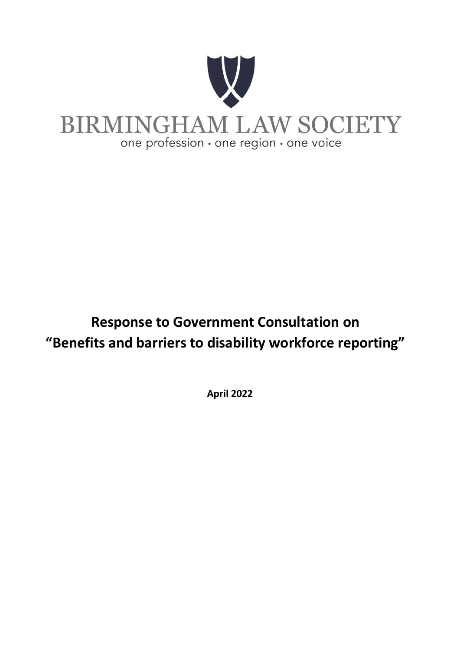

# **Response to Government Consultation on "Benefits and barriers to disability workforce reporting"**

**April 2022**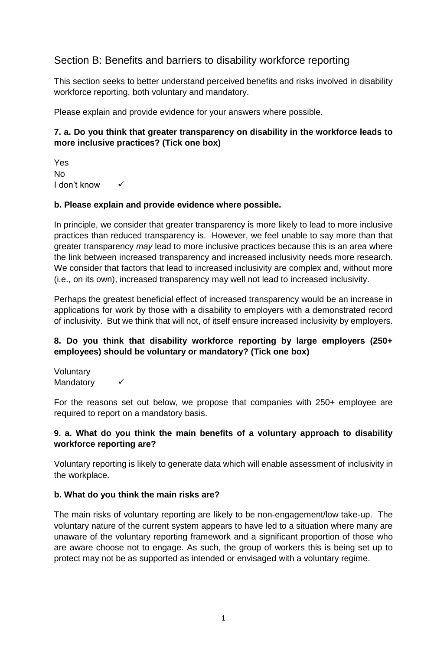### Section B: Benefits and barriers to disability workforce reporting

This section seeks to better understand perceived benefits and risks involved in disability workforce reporting, both voluntary and mandatory.

Please explain and provide evidence for your answers where possible.

### **7. a. Do you think that greater transparency on disability in the workforce leads to more inclusive practices? (Tick one box)**

Yes No I don't know

### **b. Please explain and provide evidence where possible.**

In principle, we consider that greater transparency is more likely to lead to more inclusive practices than reduced transparency is. However, we feel unable to say more than that greater transparency *may* lead to more inclusive practices because this is an area where the link between increased transparency and increased inclusivity needs more research. We consider that factors that lead to increased inclusivity are complex and, without more (i.e., on its own), increased transparency may well not lead to increased inclusivity.

Perhaps the greatest beneficial effect of increased transparency would be an increase in applications for work by those with a disability to employers with a demonstrated record of inclusivity. But we think that will not, of itself ensure increased inclusivity by employers.

### **8. Do you think that disability workforce reporting by large employers (250+ employees) should be voluntary or mandatory? (Tick one box)**

Voluntary Mandatory

For the reasons set out below, we propose that companies with 250+ employee are required to report on a mandatory basis.

### **9. a. What do you think the main benefits of a voluntary approach to disability workforce reporting are?**

Voluntary reporting is likely to generate data which will enable assessment of inclusivity in the workplace.

### **b. What do you think the main risks are?**

The main risks of voluntary reporting are likely to be non-engagement/low take-up. The voluntary nature of the current system appears to have led to a situation where many are unaware of the voluntary reporting framework and a significant proportion of those who are aware choose not to engage. As such, the group of workers this is being set up to protect may not be as supported as intended or envisaged with a voluntary regime.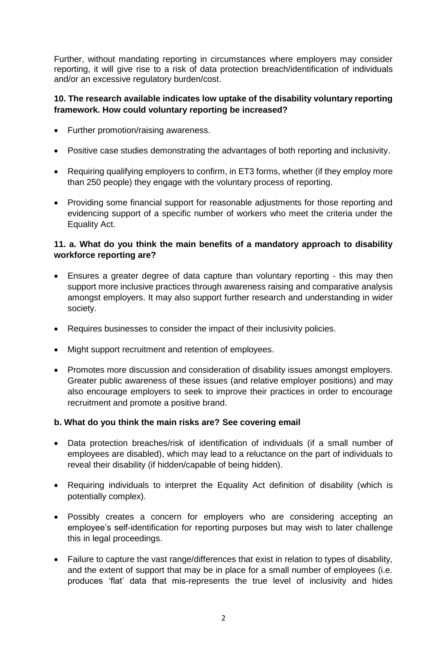Further, without mandating reporting in circumstances where employers may consider reporting, it will give rise to a risk of data protection breach/identification of individuals and/or an excessive regulatory burden/cost.

### **10. The research available indicates low uptake of the disability voluntary reporting framework. How could voluntary reporting be increased?**

- Further promotion/raising awareness.
- Positive case studies demonstrating the advantages of both reporting and inclusivity.
- Requiring qualifying employers to confirm, in ET3 forms, whether (if they employ more than 250 people) they engage with the voluntary process of reporting.
- Providing some financial support for reasonable adjustments for those reporting and evidencing support of a specific number of workers who meet the criteria under the Equality Act.

### **11. a. What do you think the main benefits of a mandatory approach to disability workforce reporting are?**

- Ensures a greater degree of data capture than voluntary reporting this may then support more inclusive practices through awareness raising and comparative analysis amongst employers. It may also support further research and understanding in wider society.
- Requires businesses to consider the impact of their inclusivity policies.
- Might support recruitment and retention of employees.
- Promotes more discussion and consideration of disability issues amongst employers. Greater public awareness of these issues (and relative employer positions) and may also encourage employers to seek to improve their practices in order to encourage recruitment and promote a positive brand.

### **b. What do you think the main risks are? See covering email**

- Data protection breaches/risk of identification of individuals (if a small number of employees are disabled), which may lead to a reluctance on the part of individuals to reveal their disability (if hidden/capable of being hidden).
- Requiring individuals to interpret the Equality Act definition of disability (which is potentially complex).
- Possibly creates a concern for employers who are considering accepting an employee's self-identification for reporting purposes but may wish to later challenge this in legal proceedings.
- Failure to capture the vast range/differences that exist in relation to types of disability, and the extent of support that may be in place for a small number of employees (i.e. produces 'flat' data that mis-represents the true level of inclusivity and hides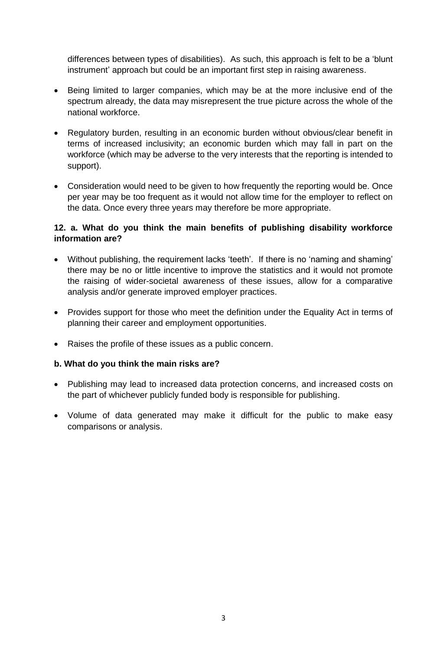differences between types of disabilities). As such, this approach is felt to be a 'blunt instrument' approach but could be an important first step in raising awareness.

- Being limited to larger companies, which may be at the more inclusive end of the spectrum already, the data may misrepresent the true picture across the whole of the national workforce.
- Regulatory burden, resulting in an economic burden without obvious/clear benefit in terms of increased inclusivity; an economic burden which may fall in part on the workforce (which may be adverse to the very interests that the reporting is intended to support).
- Consideration would need to be given to how frequently the reporting would be. Once per year may be too frequent as it would not allow time for the employer to reflect on the data. Once every three years may therefore be more appropriate.

### **12. a. What do you think the main benefits of publishing disability workforce information are?**

- Without publishing, the requirement lacks 'teeth'. If there is no 'naming and shaming' there may be no or little incentive to improve the statistics and it would not promote the raising of wider-societal awareness of these issues, allow for a comparative analysis and/or generate improved employer practices.
- Provides support for those who meet the definition under the Equality Act in terms of planning their career and employment opportunities.
- Raises the profile of these issues as a public concern.

### **b. What do you think the main risks are?**

- Publishing may lead to increased data protection concerns, and increased costs on the part of whichever publicly funded body is responsible for publishing.
- Volume of data generated may make it difficult for the public to make easy comparisons or analysis.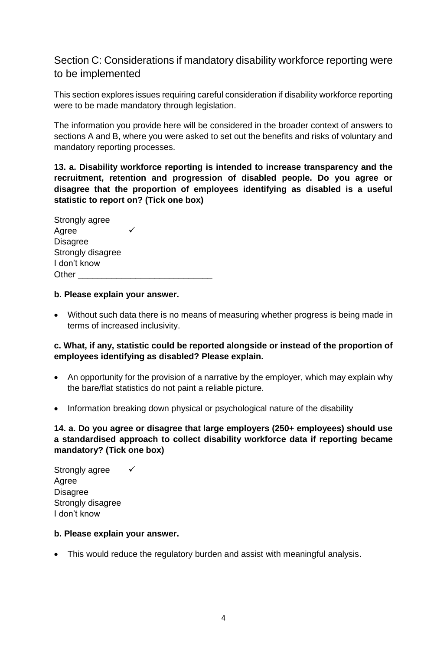### Section C: Considerations if mandatory disability workforce reporting were to be implemented

This section explores issues requiring careful consideration if disability workforce reporting were to be made mandatory through legislation.

The information you provide here will be considered in the broader context of answers to sections A and B, where you were asked to set out the benefits and risks of voluntary and mandatory reporting processes.

### **13. a. Disability workforce reporting is intended to increase transparency and the recruitment, retention and progression of disabled people. Do you agree or disagree that the proportion of employees identifying as disabled is a useful statistic to report on? (Tick one box)**

| Strongly agree    |  |
|-------------------|--|
| Agree             |  |
| <b>Disagree</b>   |  |
| Strongly disagree |  |
| I don't know      |  |
| Other             |  |

### **b. Please explain your answer.**

• Without such data there is no means of measuring whether progress is being made in terms of increased inclusivity.

### **c. What, if any, statistic could be reported alongside or instead of the proportion of employees identifying as disabled? Please explain.**

- An opportunity for the provision of a narrative by the employer, which may explain why the bare/flat statistics do not paint a reliable picture.
- Information breaking down physical or psychological nature of the disability

### **14. a. Do you agree or disagree that large employers (250+ employees) should use a standardised approach to collect disability workforce data if reporting became mandatory? (Tick one box)**

Strongly agree  $\checkmark$ Agree Disagree Strongly disagree I don't know

### **b. Please explain your answer.**

• This would reduce the regulatory burden and assist with meaningful analysis.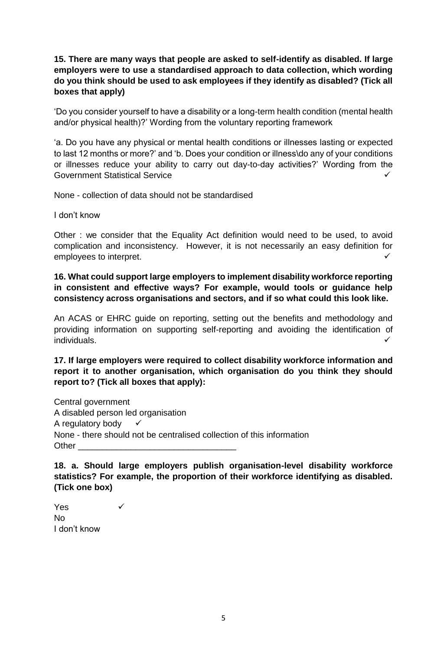### **15. There are many ways that people are asked to self-identify as disabled. If large employers were to use a standardised approach to data collection, which wording do you think should be used to ask employees if they identify as disabled? (Tick all boxes that apply)**

'Do you consider yourself to have a disability or a long-term health condition (mental health and/or physical health)?' Wording from the voluntary reporting framework

'a. Do you have any physical or mental health conditions or illnesses lasting or expected to last 12 months or more?' and 'b. Does your condition or illness\do any of your conditions or illnesses reduce your ability to carry out day-to-day activities?' Wording from the Government Statistical Service

None - collection of data should not be standardised

I don't know

Other : we consider that the Equality Act definition would need to be used, to avoid complication and inconsistency. However, it is not necessarily an easy definition for employees to interpret.

**16. What could support large employers to implement disability workforce reporting in consistent and effective ways? For example, would tools or guidance help consistency across organisations and sectors, and if so what could this look like.** 

An ACAS or EHRC guide on reporting, setting out the benefits and methodology and providing information on supporting self-reporting and avoiding the identification of individuals.

### **17. If large employers were required to collect disability workforce information and report it to another organisation, which organisation do you think they should report to? (Tick all boxes that apply):**

Central government A disabled person led organisation A regulatory body  $\checkmark$ None - there should not be centralised collection of this information Other **Lation** 

**18. a. Should large employers publish organisation-level disability workforce statistics? For example, the proportion of their workforce identifying as disabled. (Tick one box)** 

 $Yes$   $\checkmark$ No I don't know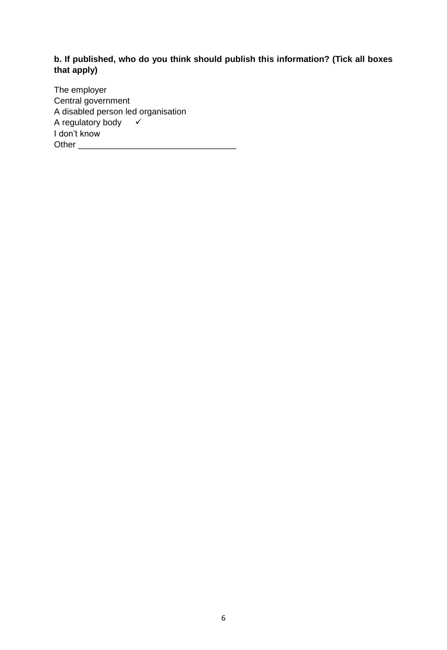### **b. If published, who do you think should publish this information? (Tick all boxes that apply)**

The employer Central government A disabled person led organisation A regulatory body  $\checkmark$ I don't know Other  $\Box$